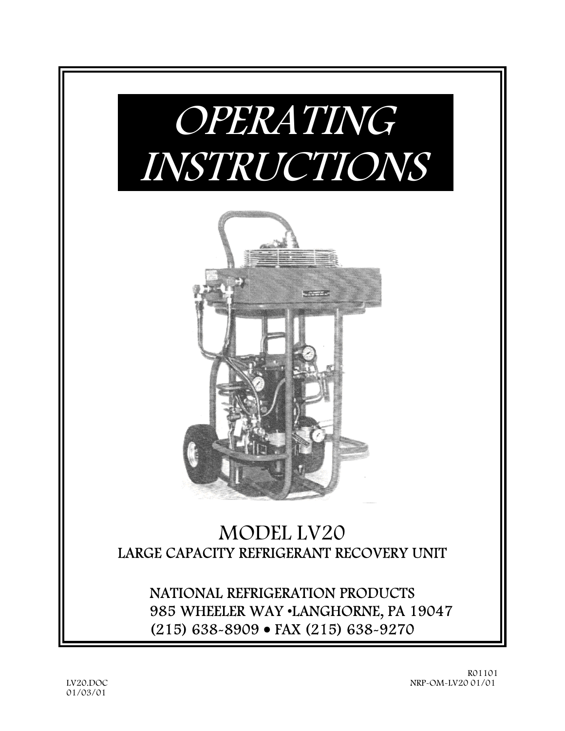

(215) 638-8909 • FAX (215) 638-9270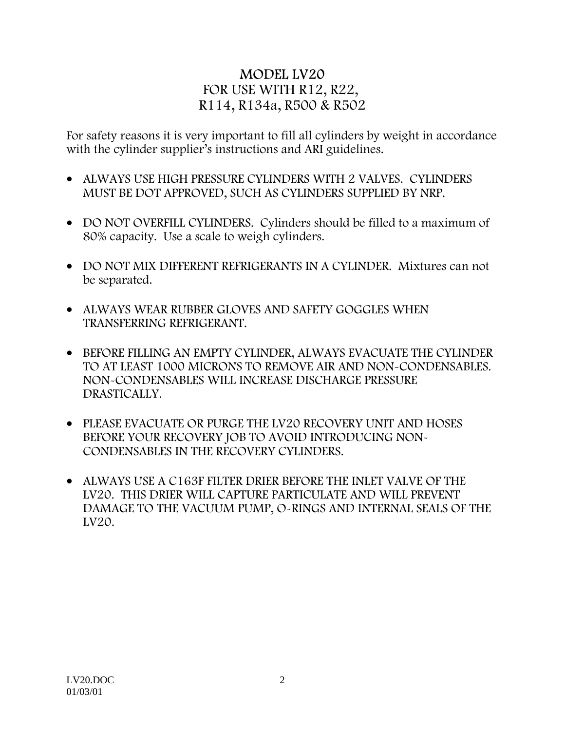# MODEL LV20 FOR USE WITH R12, R22, R114, R134a, R500 & R502

For safety reasons it is very important to fill all cylinders by weight in accordance with the cylinder supplier's instructions and ARI guidelines.

- ALWAYS USE HIGH PRESSURE CYLINDERS WITH 2 VALVES. CYLINDERS MUST BE DOT APPROVED, SUCH AS CYLINDERS SUPPLIED BY NRP.
- DO NOT OVERFILL CYLINDERS. Cylinders should be filled to a maximum of 80% capacity. Use a scale to weigh cylinders.
- DO NOT MIX DIFFERENT REFRIGERANTS IN A CYLINDER. Mixtures can not be separated.
- ALWAYS WEAR RUBBER GLOVES AND SAFETY GOGGLES WHEN TRANSFERRING REFRIGERANT.
- BEFORE FILLING AN EMPTY CYLINDER, ALWAYS EVACUATE THE CYLINDER TO AT LEAST 1000 MICRONS TO REMOVE AIR AND NON-CONDENSABLES. NON-CONDENSABLES WILL INCREASE DISCHARGE PRESSURE DRASTICALLY.
- PLEASE EVACUATE OR PURGE THE LV20 RECOVERY UNIT AND HOSES BEFORE YOUR RECOVERY JOB TO AVOID INTRODUCING NON-CONDENSABLES IN THE RECOVERY CYLINDERS.
- ALWAYS USE A C163F FILTER DRIER BEFORE THE INLET VALVE OF THE LV20. THIS DRIER WILL CAPTURE PARTICULATE AND WILL PREVENT DAMAGE TO THE VACUUM PUMP, O-RINGS AND INTERNAL SEALS OF THE LV20.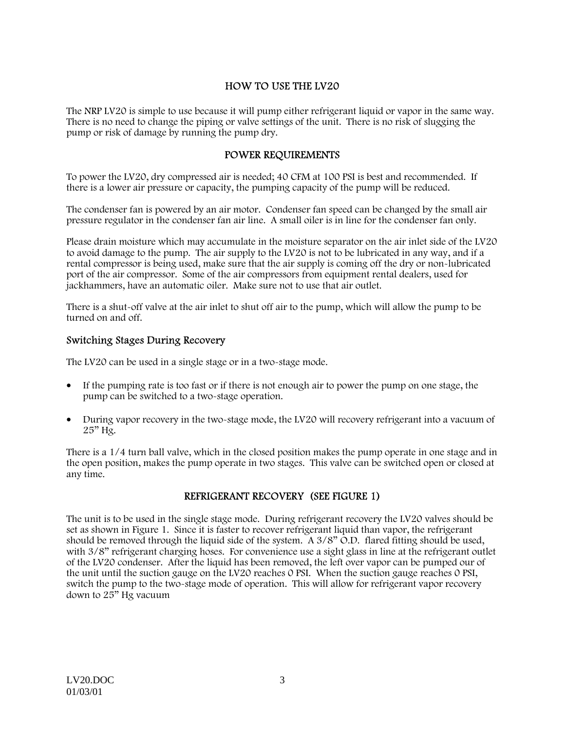# HOW TO USE THE LV20

The NRP LV20 is simple to use because it will pump either refrigerant liquid or vapor in the same way. There is no need to change the piping or valve settings of the unit. There is no risk of slugging the pump or risk of damage by running the pump dry.

#### POWER REQUIREMENTS

To power the LV20, dry compressed air is needed; 40 CFM at 100 PSI is best and recommended. If there is a lower air pressure or capacity, the pumping capacity of the pump will be reduced.

The condenser fan is powered by an air motor. Condenser fan speed can be changed by the small air pressure regulator in the condenser fan air line. A small oiler is in line for the condenser fan only.

Please drain moisture which may accumulate in the moisture separator on the air inlet side of the LV20 to avoid damage to the pump. The air supply to the LV20 is not to be lubricated in any way, and if a rental compressor is being used, make sure that the air supply is coming off the dry or non-lubricated port of the air compressor. Some of the air compressors from equipment rental dealers, used for jackhammers, have an automatic oiler. Make sure not to use that air outlet.

There is a shut-off valve at the air inlet to shut off air to the pump, which will allow the pump to be turned on and off.

#### Switching Stages During Recovery

The LV20 can be used in a single stage or in a two-stage mode.

- If the pumping rate is too fast or if there is not enough air to power the pump on one stage, the pump can be switched to a two-stage operation.
- During vapor recovery in the two-stage mode, the LV20 will recovery refrigerant into a vacuum of  $25"$  Hg.

There is a 1/4 turn ball valve, which in the closed position makes the pump operate in one stage and in the open position, makes the pump operate in two stages. This valve can be switched open or closed at any time.

## REFRIGERANT RECOVERY (SEE FIGURE 1)

The unit is to be used in the single stage mode. During refrigerant recovery the LV20 valves should be set as shown in Figure 1. Since it is faster to recover refrigerant liquid than vapor, the refrigerant should be removed through the liquid side of the system. A  $3/8$ " O.D. flared fitting should be used, with  $3/8$ " refrigerant charging hoses. For convenience use a sight glass in line at the refrigerant outlet of the LV20 condenser. After the liquid has been removed, the left over vapor can be pumped our of the unit until the suction gauge on the LV20 reaches 0 PSI. When the suction gauge reaches 0 PSI, switch the pump to the two-stage mode of operation. This will allow for refrigerant vapor recovery down to 25" Hg vacuum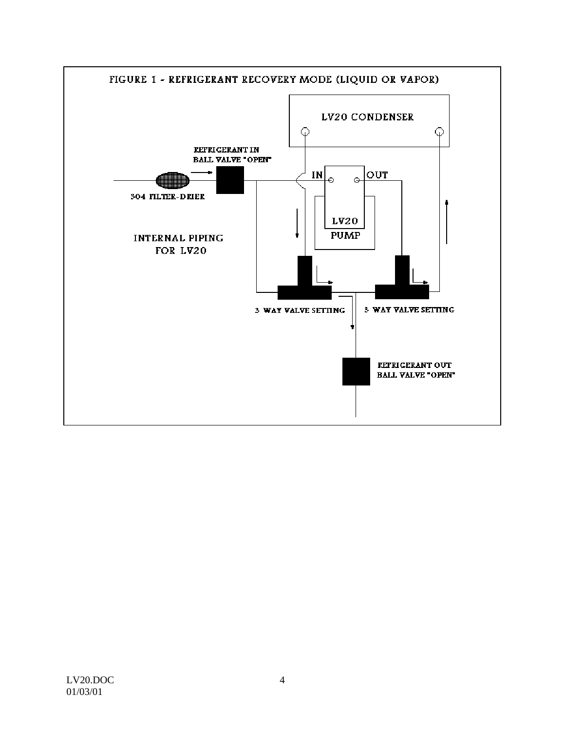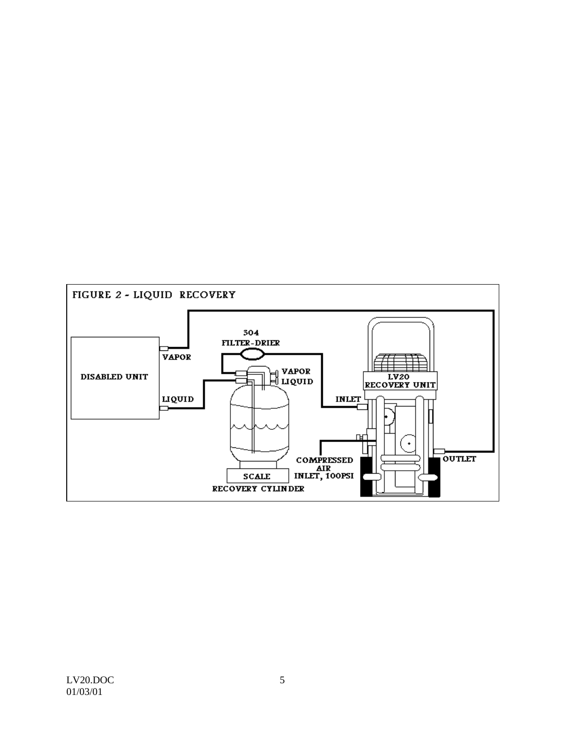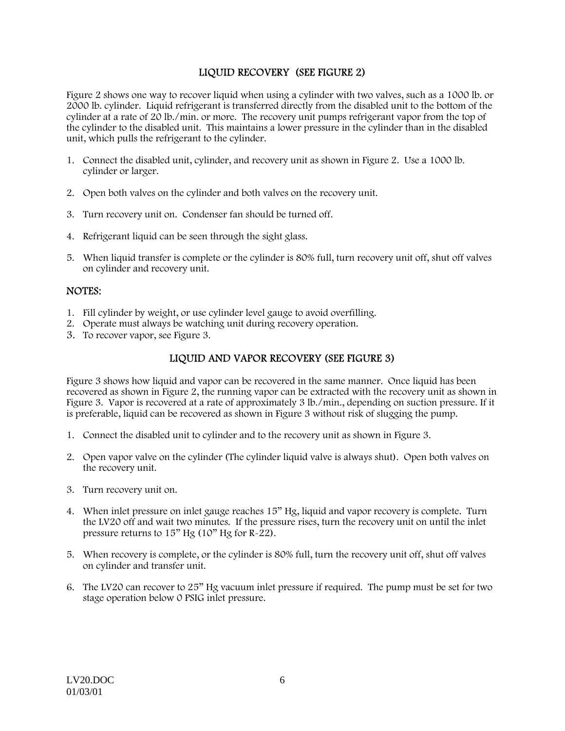# LIQUID RECOVERY (SEE FIGURE 2)

Figure 2 shows one way to recover liquid when using a cylinder with two valves, such as a 1000 lb. or 2000 lb. cylinder. Liquid refrigerant is transferred directly from the disabled unit to the bottom of the cylinder at a rate of 20 lb./min. or more. The recovery unit pumps refrigerant vapor from the top of the cylinder to the disabled unit. This maintains a lower pressure in the cylinder than in the disabled unit, which pulls the refrigerant to the cylinder.

- 1. Connect the disabled unit, cylinder, and recovery unit as shown in Figure 2. Use a 1000 lb. cylinder or larger.
- 2. Open both valves on the cylinder and both valves on the recovery unit.
- 3. Turn recovery unit on. Condenser fan should be turned off.
- 4. Refrigerant liquid can be seen through the sight glass.
- 5. When liquid transfer is complete or the cylinder is 80% full, turn recovery unit off, shut off valves on cylinder and recovery unit.

## NOTES:

- 1. Fill cylinder by weight, or use cylinder level gauge to avoid overfilling.
- 2. Operate must always be watching unit during recovery operation.
- 3. To recover vapor, see Figure 3.

# LIQUID AND VAPOR RECOVERY (SEE FIGURE 3)

Figure 3 shows how liquid and vapor can be recovered in the same manner. Once liquid has been recovered as shown in Figure 2, the running vapor can be extracted with the recovery unit as shown in Figure 3. Vapor is recovered at a rate of approximately 3 lb./min., depending on suction pressure. If it is preferable, liquid can be recovered as shown in Figure 3 without risk of slugging the pump.

- 1. Connect the disabled unit to cylinder and to the recovery unit as shown in Figure 3.
- 2. Open vapor valve on the cylinder (The cylinder liquid valve is always shut). Open both valves on the recovery unit.
- 3. Turn recovery unit on.
- 4. When inlet pressure on inlet gauge reaches 15" Hg, liquid and vapor recovery is complete. Turn the LV20 off and wait two minutes. If the pressure rises, turn the recovery unit on until the inlet pressure returns to  $15"$  Hg  $(10"$  Hg for  $R-22$ ).
- 5. When recovery is complete, or the cylinder is 80% full, turn the recovery unit off, shut off valves on cylinder and transfer unit.
- 6. The LV20 can recover to 25" Hg vacuum inlet pressure if required. The pump must be set for two stage operation below 0 PSIG inlet pressure.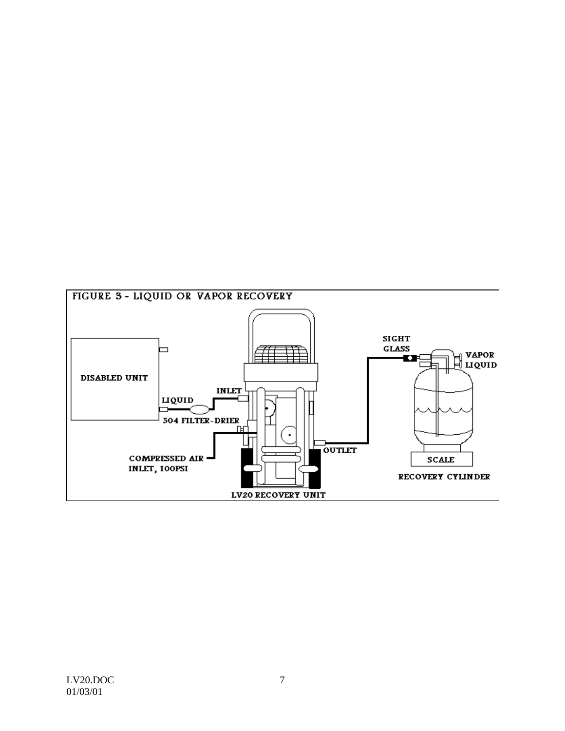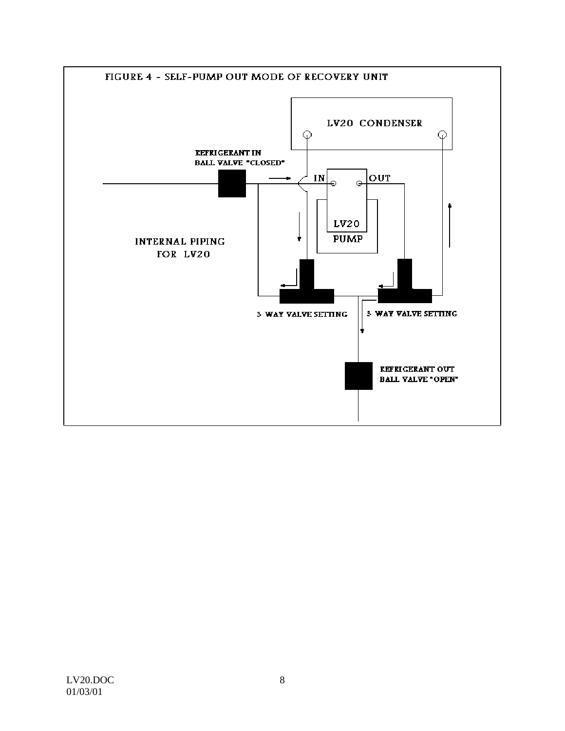